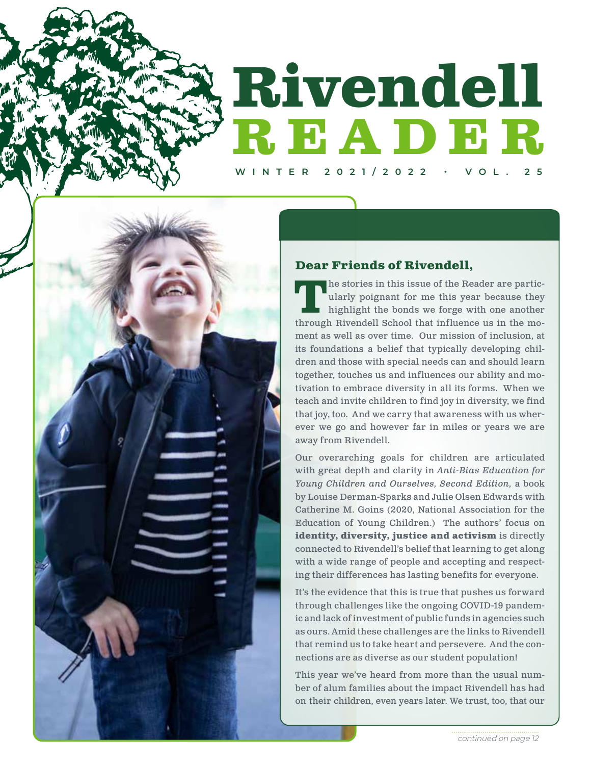# **Rivendell READER WINTER 2021/2022 • V O L. 25**



#### **Dear Friends of Rivendell,**

**The stories in this issue of the Reader are partic-<br>
ularly poignant for me this year because they<br>
highlight the bonds we forge with one another<br>
through Rivendell School that influence us in the mo**ularly poignant for me this year because they highlight the bonds we forge with one another through Rivendell School that influence us in the moment as well as over time. Our mission of inclusion, at its foundations a belief that typically developing children and those with special needs can and should learn together, touches us and influences our ability and motivation to embrace diversity in all its forms. When we teach and invite children to find joy in diversity, we find that joy, too. And we carry that awareness with us wherever we go and however far in miles or years we are away from Rivendell.

Our overarching goals for children are articulated with great depth and clarity in *Anti-Bias Education for Young Children and Ourselves, Second Edition,* a book by Louise Derman-Sparks and Julie Olsen Edwards with Catherine M. Goins (2020, National Association for the Education of Young Children.) The authors' focus on **identity, diversity, justice and activism** is directly connected to Rivendell's belief that learning to get along with a wide range of people and accepting and respecting their differences has lasting benefits for everyone.

It's the evidence that this is true that pushes us forward through challenges like the ongoing COVID-19 pandemic and lack of investment of public funds in agencies such as ours. Amid these challenges are the links to Rivendell that remind us to take heart and persevere. And the connections are as diverse as our student population!

This year we've heard from more than the usual number of alum families about the impact Rivendell has had on their children, even years later. We trust, too, that our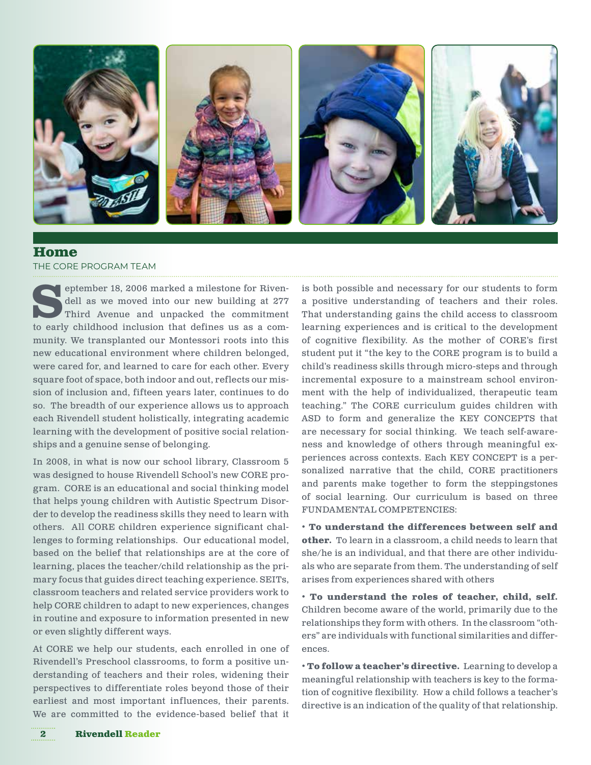

#### **Home**

#### THE CORE PROGRAM TEAM

eptember 18, 2006 marked a milestone for Riven-<br>dell as we moved into our new building at 277<br>Third Avenue and unpacked the commitment<br>to early childhood inclusion that defines us as a comdell as we moved into our new building at 277 Third Avenue and unpacked the commitment to early childhood inclusion that defines us as a community. We transplanted our Montessori roots into this new educational environment where children belonged, were cared for, and learned to care for each other. Every square foot of space, both indoor and out, reflects our mission of inclusion and, fifteen years later, continues to do so. The breadth of our experience allows us to approach each Rivendell student holistically, integrating academic learning with the development of positive social relationships and a genuine sense of belonging.

In 2008, in what is now our school library, Classroom 5 was designed to house Rivendell School's new CORE program. CORE is an educational and social thinking model that helps young children with Autistic Spectrum Disorder to develop the readiness skills they need to learn with others. All CORE children experience significant challenges to forming relationships. Our educational model, based on the belief that relationships are at the core of learning, places the teacher/child relationship as the primary focus that guides direct teaching experience. SEITs, classroom teachers and related service providers work to help CORE children to adapt to new experiences, changes in routine and exposure to information presented in new or even slightly different ways.

At CORE we help our students, each enrolled in one of Rivendell's Preschool classrooms, to form a positive understanding of teachers and their roles, widening their perspectives to differentiate roles beyond those of their earliest and most important influences, their parents. We are committed to the evidence-based belief that it

is both possible and necessary for our students to form a positive understanding of teachers and their roles. That understanding gains the child access to classroom learning experiences and is critical to the development of cognitive flexibility. As the mother of CORE's first student put it "the key to the CORE program is to build a child's readiness skills through micro-steps and through incremental exposure to a mainstream school environment with the help of individualized, therapeutic team teaching." The CORE curriculum guides children with ASD to form and generalize the KEY CONCEPTS that are necessary for social thinking. We teach self-awareness and knowledge of others through meaningful experiences across contexts. Each KEY CONCEPT is a personalized narrative that the child, CORE practitioners and parents make together to form the steppingstones of social learning. Our curriculum is based on three FUNDAMENTAL COMPETENCIES:

• **To understand the differences between self and other.** To learn in a classroom, a child needs to learn that she/he is an individual, and that there are other individuals who are separate from them. The understanding of self arises from experiences shared with others

• **To understand the roles of teacher, child, self.**  Children become aware of the world, primarily due to the relationships they form with others. In the classroom "others" are individuals with functional similarities and differences.

• **To follow a teacher's directive.** Learning to develop a meaningful relationship with teachers is key to the formation of cognitive flexibility. How a child follows a teacher's directive is an indication of the quality of that relationship.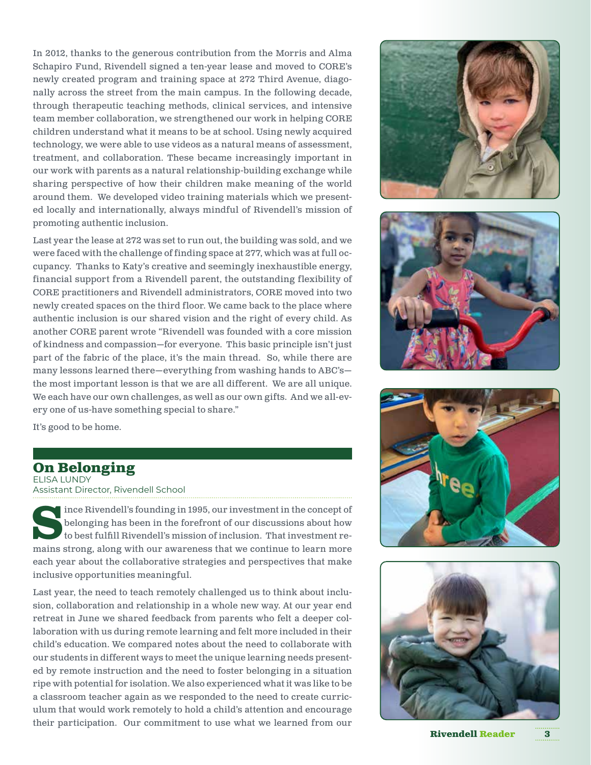In 2012, thanks to the generous contribution from the Morris and Alma Schapiro Fund, Rivendell signed a ten-year lease and moved to CORE's newly created program and training space at 272 Third Avenue, diago nally across the street from the main campus. In the following decade, through therapeutic teaching methods, clinical services, and intensive team member collaboration, we strengthened our work in helping CORE children understand what it means to be at school. Using newly acquired technology, we were able to use videos as a natural means of assessment, treatment, and collaboration. These became increasingly important in our work with parents as a natural relationship-building exchange while sharing perspective of how their children make meaning of the world around them. We developed video training materials which we present ed locally and internationally, always mindful of Rivendell's mission of promoting authentic inclusion.

Last year the lease at 272 was set to run out, the building was sold, and we were faced with the challenge of finding space at 277, which was at full oc cupancy. Thanks to Katy's creative and seemingly inexhaustible energy, financial support from a Rivendell parent, the outstanding flexibility of CORE practitioners and Rivendell administrators, CORE moved into two newly created spaces on the third floor. We came back to the place where authentic inclusion is our shared vision and the right of every child. As another CORE parent wrote "Rivendell was founded with a core mission of kindness and compassion—for everyone. This basic principle isn't just part of the fabric of the place, it's the main thread. So, while there are many lessons learned there—everything from washing hands to ABC's the most important lesson is that we are all different. We are all unique. We each have our own challenges, as well as our own gifts. And we all-ev ery one of us-have something special to share."

It's good to be home.

# **On Belonging**

ELISA LUNDY Assistant Director, Rivendell School

ince Rivendell's founding in 1995, our investment in the concept of belonging has been in the forefront of our discussions about how to best fulfill Rivendell's mission of inclusion. That investment remains strong, along w belonging has been in the forefront of our discussions about how to best fulfill Rivendell's mission of inclusion. That investment re mains strong, along with our awareness that we continue to learn more each year about the collaborative strategies and perspectives that make inclusive opportunities meaningful.

Last year, the need to teach remotely challenged us to think about inclu sion, collaboration and relationship in a whole new way. At our year end retreat in June we shared feedback from parents who felt a deeper col laboration with us during remote learning and felt more included in their child's education. We compared notes about the need to collaborate with our students in different ways to meet the unique learning needs present ed by remote instruction and the need to foster belonging in a situation ripe with potential for isolation. We also experienced what it was like to be a classroom teacher again as we responded to the need to create curric ulum that would work remotely to hold a child's attention and encourage their participation. Our commitment to use what we learned from our





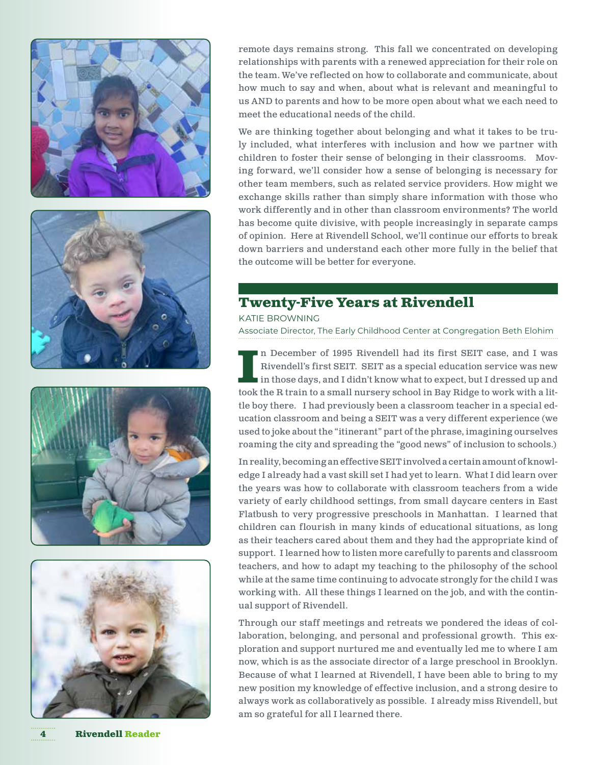







remote days remains strong. This fall we concentrated on developing relationships with parents with a renewed appreciation for their role on the team. We've reflected on how to collaborate and communicate, about how much to say and when, about what is relevant and meaningful to us AND to parents and how to be more open about what we each need to meet the educational needs of the child.

We are thinking together about belonging and what it takes to be truly included, what interferes with inclusion and how we partner with children to foster their sense of belonging in their classrooms. Moving forward, we'll consider how a sense of belonging is necessary for other team members, such as related service providers. How might we exchange skills rather than simply share information with those who work differently and in other than classroom environments? The world has become quite divisive, with people increasingly in separate camps of opinion. Here at Rivendell School, we'll continue our efforts to break down barriers and understand each other more fully in the belief that the outcome will be better for everyone.

# **Twenty-Five Years at Rivendell**

KATIE BROWNING

Associate Director, The Early Childhood Center at Congregation Beth Elohim

II December of 1995 Rivendell had its first SEIT case, and I was Rivendell's first SEIT. SEIT as a special education service was new in those days, and I didn't know what to expect, but I dressed up and took the R train to n December of 1995 Rivendell had its first SEIT case, and I was Rivendell's first SEIT. SEIT as a special education service was new in those days, and I didn't know what to expect, but I dressed up and tle boy there. I had previously been a classroom teacher in a special education classroom and being a SEIT was a very different experience (we used to joke about the "itinerant" part of the phrase, imagining ourselves roaming the city and spreading the "good news" of inclusion to schools.)

In reality, becoming an effective SEIT involved a certain amount of knowledge I already had a vast skill set I had yet to learn. What I did learn over the years was how to collaborate with classroom teachers from a wide variety of early childhood settings, from small daycare centers in East Flatbush to very progressive preschools in Manhattan. I learned that children can flourish in many kinds of educational situations, as long as their teachers cared about them and they had the appropriate kind of support. I learned how to listen more carefully to parents and classroom teachers, and how to adapt my teaching to the philosophy of the school while at the same time continuing to advocate strongly for the child I was working with. All these things I learned on the job, and with the continual support of Rivendell.

Through our staff meetings and retreats we pondered the ideas of collaboration, belonging, and personal and professional growth. This exploration and support nurtured me and eventually led me to where I am now, which is as the associate director of a large preschool in Brooklyn. Because of what I learned at Rivendell, I have been able to bring to my new position my knowledge of effective inclusion, and a strong desire to always work as collaboratively as possible. I already miss Rivendell, but am so grateful for all I learned there.

**4 Rivendell Reader**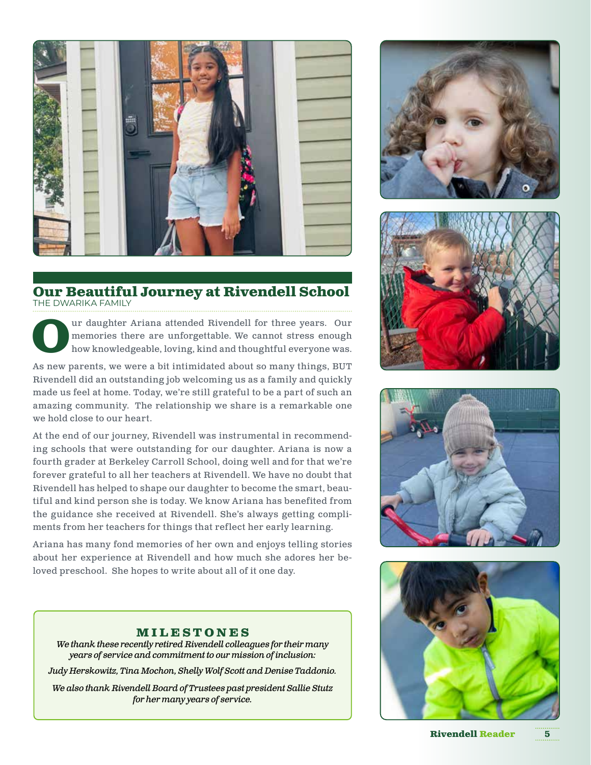

#### **Our Beautiful Journey at Rivendell School** THE DWARIKA FAMILY

**O**ur daughter Ariana attended Rivendell for three years. Our memories there are unforgettable. We cannot stress enough how knowledgeable, loving, kind and thoughtful everyone was.

As new parents, we were a bit intimidated about so many things, BUT Rivendell did an outstanding job welcoming us as a family and quickly made us feel at home. Today, we're still grateful to be a part of such an amazing community. The relationship we share is a remarkable one we hold close to our heart.

At the end of our journey, Rivendell was instrumental in recommending schools that were outstanding for our daughter. Ariana is now a fourth grader at Berkeley Carroll School, doing well and for that we're forever grateful to all her teachers at Rivendell. We have no doubt that Rivendell has helped to shape our daughter to become the smart, beautiful and kind person she is today. We know Ariana has benefited from the guidance she received at Rivendell. She's always getting compliments from her teachers for things that reflect her early learning.

Ariana has many fond memories of her own and enjoys telling stories about her experience at Rivendell and how much she adores her beloved preschool. She hopes to write about all of it one day.

#### **MILESTONES**

*We thank these recently retired Rivendell colleagues for their many years of service and commitment to our mission of inclusion:*

*Judy Herskowitz, Tina Mochon, Shelly Wolf Scott and Denise Taddonio.*

*We also thank Rivendell Board of Trustees past president Sallie Stutz for her many years of service.*







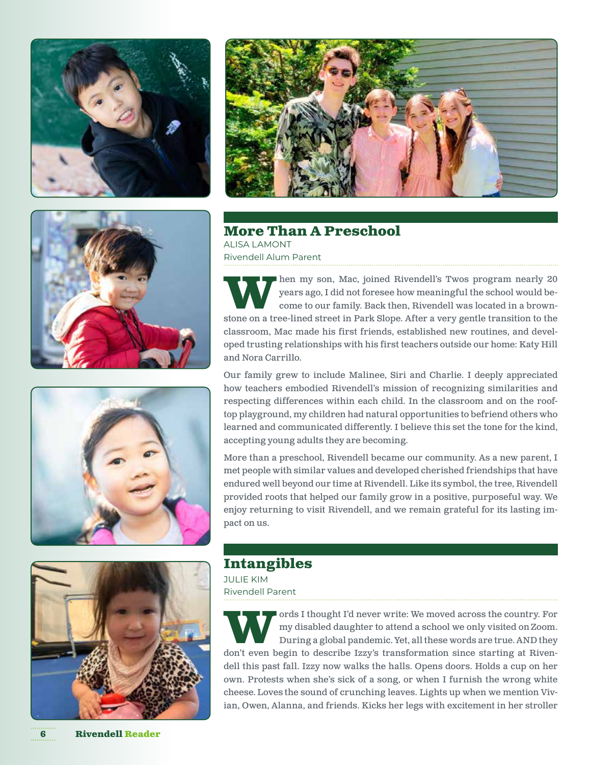









**More Than A Preschool**

ALISA LAMONT Rivendell Alum Parent

**WEINTERN MAC, joined Rivendell's Twos program nearly 20** years ago, I did not foresee how meaningful the school would become to our family. Back then, Rivendell was located in a brownstone on a tree-lined street in Park S years ago, I did not foresee how meaningful the school would become to our family. Back then, Rivendell was located in a brownclassroom, Mac made his first friends, established new routines, and developed trusting relationships with his first teachers outside our home: Katy Hill and Nora Carrillo.

Our family grew to include Malinee, Siri and Charlie. I deeply appreciated how teachers embodied Rivendell's mission of recognizing similarities and respecting differences within each child. In the classroom and on the rooftop playground, my children had natural opportunities to befriend others who learned and communicated differently. I believe this set the tone for the kind, accepting young adults they are becoming.

More than a preschool, Rivendell became our community. As a new parent, I met people with similar values and developed cherished friendships that have endured well beyond our time at Rivendell. Like its symbol, the tree, Rivendell provided roots that helped our family grow in a positive, purposeful way. We enjoy returning to visit Rivendell, and we remain grateful for its lasting impact on us.

# **Intangibles**

JULIE KIM Rivendell Parent

ords I thought I'd never write: We moved across the country. For my disabled daughter to attend a school we only visited on Zoom. During a global pandemic. Yet, all these words are true. AND they don't even begin to descri my disabled daughter to attend a school we only visited on Zoom. During a global pandemic. Yet, all these words are true. AND they dell this past fall. Izzy now walks the halls. Opens doors. Holds a cup on her own. Protests when she's sick of a song, or when I furnish the wrong white cheese. Loves the sound of crunching leaves. Lights up when we mention Vivian, Owen, Alanna, and friends. Kicks her legs with excitement in her stroller

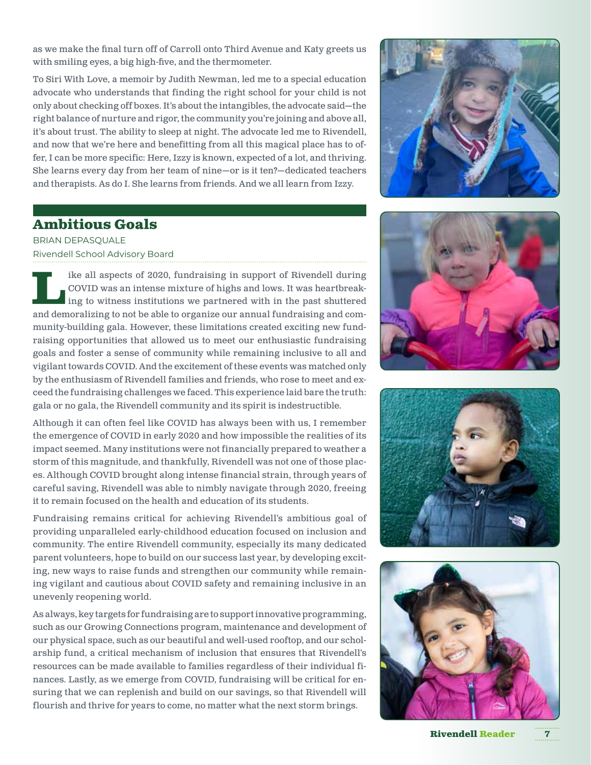as we make the final turn off of Carroll onto Third Avenue and Katy greets us with smiling eyes, a big high-five, and the thermometer.

To Siri With Love, a memoir by Judith Newman, led me to a special education advocate who understands that finding the right school for your child is not only about checking off boxes. It's about the intangibles, the advocate said—the right balance of nurture and rigor, the community you're joining and above all, it's about trust. The ability to sleep at night. The advocate led me to Rivendell, and now that we're here and benefitting from all this magical place has to offer, I can be more specific: Here, Izzy is known, expected of a lot, and thriving. She learns every day from her team of nine—or is it ten?—dedicated teachers and therapists. As do I. She learns from friends. And we all learn from Izzy.

# **Ambitious Goals**

BRIAN DEPASQUALE Rivendell School Advisory Board

like all aspects of 2020, fundraising in support of Rivendell during<br>COVID was an intense mixture of highs and lows. It was heartbreaking to witness institutions we partnered with in the past shuttered<br>and demoralizing to COVID was an intense mixture of highs and lows. It was heartbreaking to witness institutions we partnered with in the past shuttered and demoralizing to not be able to organize our annual fundraising and community-building gala. However, these limitations created exciting new fundraising opportunities that allowed us to meet our enthusiastic fundraising goals and foster a sense of community while remaining inclusive to all and vigilant towards COVID. And the excitement of these events was matched only by the enthusiasm of Rivendell families and friends, who rose to meet and exceed the fundraising challenges we faced. This experience laid bare the truth: gala or no gala, the Rivendell community and its spirit is indestructible.

Although it can often feel like COVID has always been with us, I remember the emergence of COVID in early 2020 and how impossible the realities of its impact seemed. Many institutions were not financially prepared to weather a storm of this magnitude, and thankfully, Rivendell was not one of those places. Although COVID brought along intense financial strain, through years of careful saving, Rivendell was able to nimbly navigate through 2020, freeing it to remain focused on the health and education of its students.

Fundraising remains critical for achieving Rivendell's ambitious goal of providing unparalleled early-childhood education focused on inclusion and community. The entire Rivendell community, especially its many dedicated parent volunteers, hope to build on our success last year, by developing exciting, new ways to raise funds and strengthen our community while remaining vigilant and cautious about COVID safety and remaining inclusive in an unevenly reopening world.

As always, key targets for fundraising are to support innovative programming, such as our Growing Connections program, maintenance and development of our physical space, such as our beautiful and well-used rooftop, and our scholarship fund, a critical mechanism of inclusion that ensures that Rivendell's resources can be made available to families regardless of their individual finances. Lastly, as we emerge from COVID, fundraising will be critical for ensuring that we can replenish and build on our savings, so that Rivendell will flourish and thrive for years to come, no matter what the next storm brings.







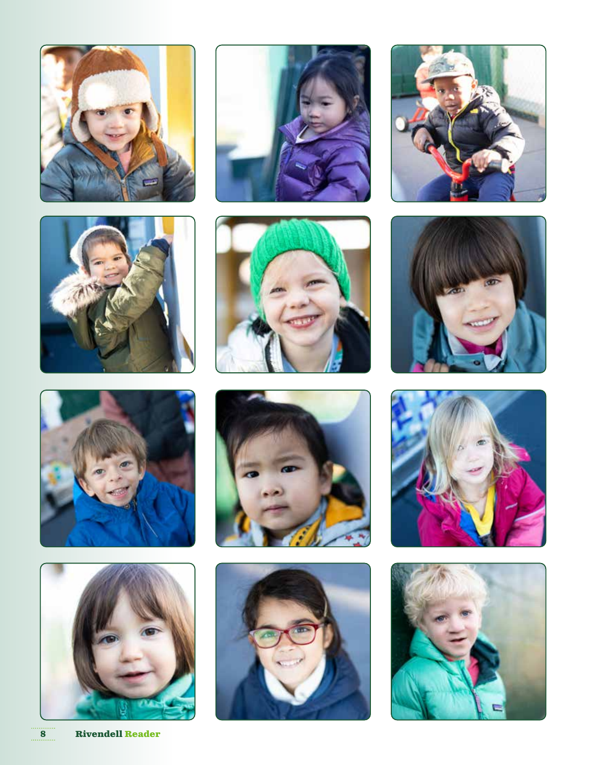





















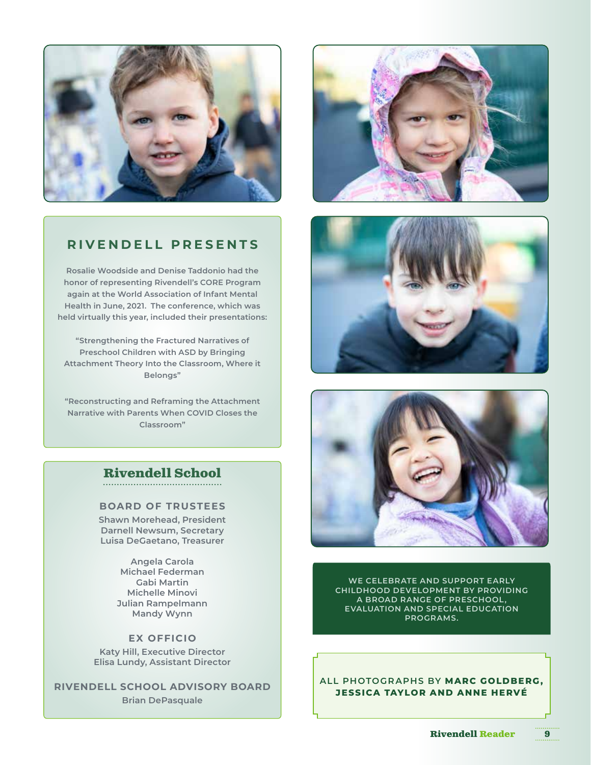

## **RIVENDELL PRESENTS**

**Rosalie Woodside and Denise Taddonio had the honor of representing Rivendell's CORE Program again at the World Association of Infant Mental Health in June, 2021. The conference, which was held virtually this year, included their presentations:**

**"Strengthening the Fractured Narratives of Preschool Children with ASD by Bringing Attachment Theory Into the Classroom, Where it Belongs"**

**"Reconstructing and Reframing the Attachment Narrative with Parents When COVID Closes the Classroom"**

# **Rivendell School**

#### **BOARD OF TRUSTEES**

**Shawn Morehead, President Darnell Newsum, Secretary Luisa DeGaetano, Treasurer**

> **Angela Carola Michael Federman Gabi Martin Michelle Minovi Julian Rampelmann Mandy Wynn**

#### **EX OFFICIO**

**Katy Hill, Executive Director Elisa Lundy, Assistant Director**

**RIVENDELL SCHOOL ADVISORY BOARD Brian DePasquale**







**WE CELEBRATE AND SUPPORT EARLY CHILDHOOD DEVELOPMENT BY PROVIDING A BROAD RANGE OF PRESCHOOL, EVALUATION AND SPECIAL EDUCATION PROGRAMS.**

**ALL PHOTOGRAPHS BY MARC GOLDBERG, JESSICA TAYLOR AND ANNE HERVÉ**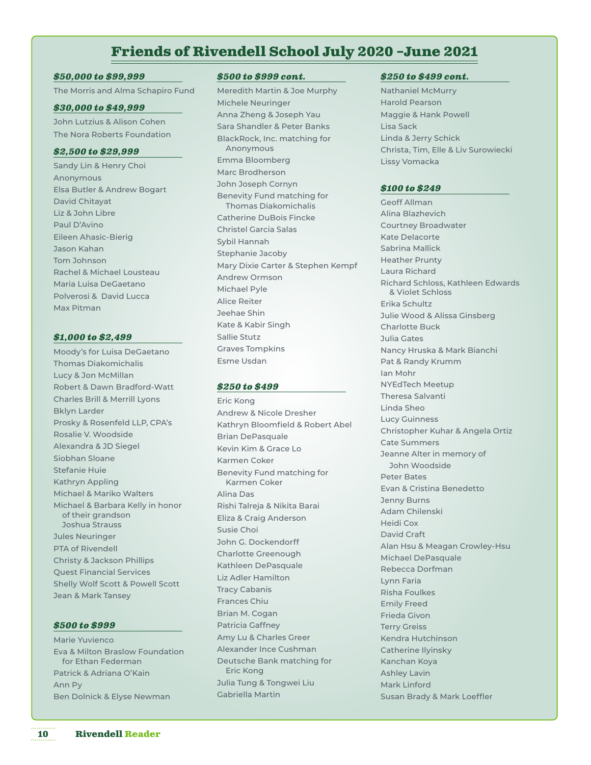# **Friends of Rivendell School July 2020 –June 2021**

#### *\$50,000 to \$99,999*

The Morris and Alma Schapiro Fund

#### *\$30,000 to \$49,999*

John Lutzius & Alison Cohen The Nora Roberts Foundation

#### *\$2,500 to \$29,999*

Sandy Lin & Henry Choi Anonymous Elsa Butler & Andrew Bogart David Chitayat Liz & John Libre Paul D'Avino Eileen Ahasic-Bierig Jason Kahan Tom Johnson Rachel & Michael Lousteau Maria Luisa DeGaetano Polverosi & David Lucca Max Pitman

#### *\$1,000 to \$2,499*

Moody's for Luisa DeGaetano Thomas Diakomichalis Lucy & Jon McMillan Robert & Dawn Bradford-Watt Charles Brill & Merrill Lyons Bklyn Larder Prosky & Rosenfeld LLP, CPA's Rosalie V. Woodside Alexandra & JD Siegel Siobhan Sloane Stefanie Huie Kathryn Appling Michael & Mariko Walters Michael & Barbara Kelly in honor of their grandson Joshua Strauss Jules Neuringer PTA of Rivendell Christy & Jackson Phillips Quest Financial Services Shelly Wolf Scott & Powell Scott Jean & Mark Tansey

#### *\$500 to \$999*

Marie Yuvienco Eva & Milton Braslow Foundation for Ethan Federman Patrick & Adriana O'Kain Ann Py Ben Dolnick & Elyse Newman

#### *\$500 to \$999 cont.*

Meredith Martin & Joe Murphy Michele Neuringer Anna Zheng & Joseph Yau Sara Shandler & Peter Banks BlackRock, Inc. matching for Anonymous Emma Bloomberg Marc Brodherson John Joseph Cornyn Benevity Fund matching for Thomas Diakomichalis Catherine DuBois Fincke Christel Garcia Salas Sybil Hannah Stephanie Jacoby Mary Dixie Carter & Stephen Kempf Andrew Ormson Michael Pyle Alice Reiter Jeehae Shin Kate & Kabir Singh Sallie Stutz Graves Tompkins Esme Usdan

#### *\$250 to \$499*

Eric Kong Andrew & Nicole Dresher Kathryn Bloomfield & Robert Abel Brian DePasquale Kevin Kim & Grace Lo Karmen Coker Benevity Fund matching for Karmen Coker Alina Das Rishi Talreja & Nikita Barai Eliza & Craig Anderson Susie Choi John G. Dockendorff Charlotte Greenough Kathleen DePasquale Liz Adler Hamilton Tracy Cabanis Frances Chiu Brian M. Cogan Patricia Gaffney Amy Lu & Charles Greer Alexander Ince Cushman Deutsche Bank matching for Eric Kong Julia Tung & Tongwei Liu Gabriella Martin

#### *\$250 to \$499 cont.*

Nathaniel McMurry Harold Pearson Maggie & Hank Powell Lisa Sack Linda & Jerry Schick Christa, Tim, Elle & Liv Surowiecki Lissy Vomacka

#### *\$100 to \$249*

Geoff Allman Alina Blazhevich Courtney Broadwater Kate Delacorte Sabrina Mallick Heather Prunty Laura Richard Richard Schloss, Kathleen Edwards & Violet Schloss Erika Schultz Julie Wood & Alissa Ginsberg Charlotte Buck Julia Gates Nancy Hruska & Mark Bianchi Pat & Randy Krumm Ian Mohr NYEdTech Meetup Theresa Salvanti Linda Sheo Lucy Guinness Christopher Kuhar & Angela Ortiz Cate Summers Jeanne Alter in memory of John Woodside Peter Bates Evan & Cristina Benedetto Jenny Burns Adam Chilenski Heidi Cox David Craft Alan Hsu & Meagan Crowley-Hsu Michael DePasquale Rebecca Dorfman Lynn Faria Risha Foulkes Emily Freed Frieda Givon Terry Greiss Kendra Hutchinson Catherine Ilyinsky Kanchan Koya Ashley Lavin Mark Linford Susan Brady & Mark Loeffler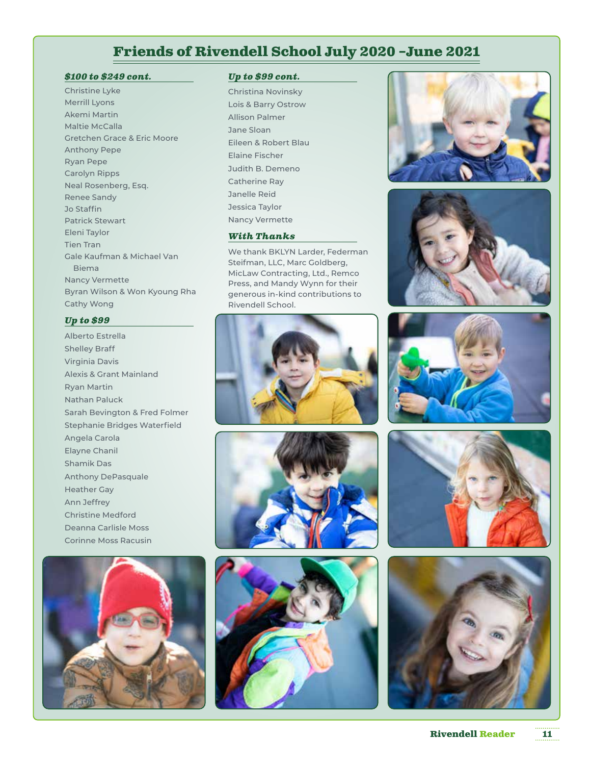# **Friends of Rivendell School July 2020 –June 2021**

#### *\$100 to \$249 cont.*

Christine Lyke Merrill Lyons Akemi Martin Maltie McCalla Gretchen Grace & Eric Moore Anthony Pepe Ryan Pepe Carolyn Ripps Neal Rosenberg, Esq. Renee Sandy Jo Staffin Patrick Stewart Eleni Taylor Tien Tran Gale Kaufman & Michael Van Biema Nancy Vermette Byran Wilson & Won Kyoung Rha Cathy Wong

#### *Up to \$99*

Alberto Estrella Shelley Braff Virginia Davis Alexis & Grant Mainland Ryan Martin Nathan Paluck Sarah Bevington & Fred Folmer Stephanie Bridges Waterfield Angela Carola Elayne Chanil Shamik Das Anthony DePasquale Heather Gay Ann Jeffrey Christine Medford Deanna Carlisle Moss Corinne Moss Racusin



#### *Up to \$99 cont.*

Christina Novinsky Lois & Barry Ostrow Allison Palmer Jane Sloan Eileen & Robert Blau Elaine Fischer Judith B. Demeno Catherine Ray Janelle Reid Jessica Taylor Nancy Vermette

#### *With Thanks*

We thank BKLYN Larder, Federman Steifman, LLC, Marc Goldberg, MicLaw Contracting, Ltd., Remco Press, and Mandy Wynn for their generous in-kind contributions to Rivendell School.